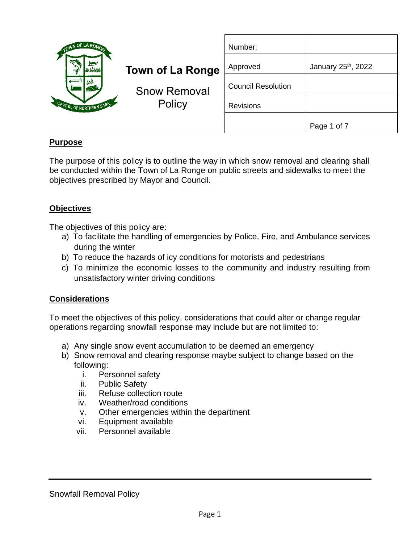| OWN OF LA ROM                       |                               | Number:                   |                    |
|-------------------------------------|-------------------------------|---------------------------|--------------------|
| 制<br>極端<br>CAPITAL OF NORTHERN SASK | <b>Town of La Ronge</b>       | Approved                  | January 25th, 2022 |
|                                     | <b>Snow Removal</b><br>Policy | <b>Council Resolution</b> |                    |
|                                     |                               | <b>Revisions</b>          |                    |
|                                     |                               |                           | Page 1 of 7        |

## **Purpose**

The purpose of this policy is to outline the way in which snow removal and clearing shall be conducted within the Town of La Ronge on public streets and sidewalks to meet the objectives prescribed by Mayor and Council.

### **Objectives**

The objectives of this policy are:

- a) To facilitate the handling of emergencies by Police, Fire, and Ambulance services during the winter
- b) To reduce the hazards of icy conditions for motorists and pedestrians
- c) To minimize the economic losses to the community and industry resulting from unsatisfactory winter driving conditions

### **Considerations**

To meet the objectives of this policy, considerations that could alter or change regular operations regarding snowfall response may include but are not limited to:

- a) Any single snow event accumulation to be deemed an emergency
- b) Snow removal and clearing response maybe subject to change based on the following:
	- i. Personnel safety
	- ii. Public Safety
	- iii. Refuse collection route
	- iv. Weather/road conditions
	- v. Other emergencies within the department
	- vi. Equipment available
	- vii. Personnel available

#### Snowfall Removal Policy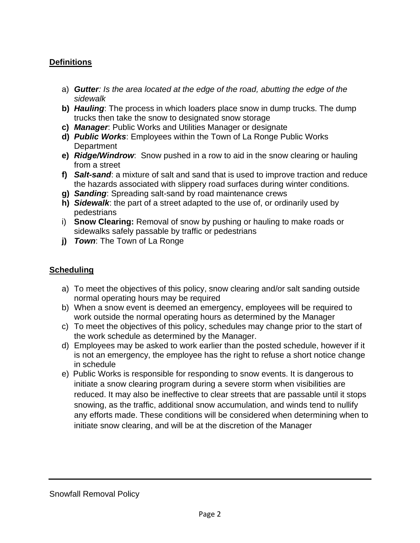## **Definitions**

- a) *Gutter: Is the area located at the edge of the road, abutting the edge of the sidewalk*
- **b)** *Hauling*: The process in which loaders place snow in dump trucks. The dump trucks then take the snow to designated snow storage
- **c)** *Manager*: Public Works and Utilities Manager or designate
- **d)** *Public Works*: Employees within the Town of La Ronge Public Works **Department**
- **e)** *Ridge/Windrow*: Snow pushed in a row to aid in the snow clearing or hauling from a street
- **f)** *Salt-sand*: a mixture of salt and sand that is used to improve traction and reduce the hazards associated with slippery road surfaces during winter conditions.
- **g)** *Sanding*: Spreading salt-sand by road maintenance crews
- **h)** *Sidewalk*: the part of a street adapted to the use of, or ordinarily used by pedestrians
- i) **Snow Clearing:** Removal of snow by pushing or hauling to make roads or sidewalks safely passable by traffic or pedestrians
- **j)** *Town*: The Town of La Ronge

# **Scheduling**

- a) To meet the objectives of this policy, snow clearing and/or salt sanding outside normal operating hours may be required
- b) When a snow event is deemed an emergency, employees will be required to work outside the normal operating hours as determined by the Manager
- c) To meet the objectives of this policy, schedules may change prior to the start of the work schedule as determined by the Manager.
- d) Employees may be asked to work earlier than the posted schedule, however if it is not an emergency, the employee has the right to refuse a short notice change in schedule
- e) Public Works is responsible for responding to snow events. It is dangerous to initiate a snow clearing program during a severe storm when visibilities are reduced. It may also be ineffective to clear streets that are passable until it stops snowing, as the traffic, additional snow accumulation, and winds tend to nullify any efforts made. These conditions will be considered when determining when to initiate snow clearing, and will be at the discretion of the Manager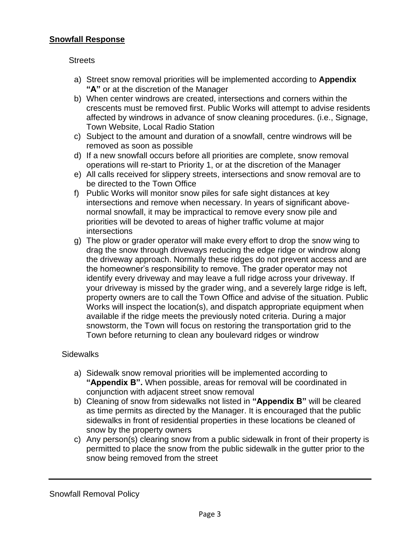#### **Snowfall Response**

#### **Streets**

- a) Street snow removal priorities will be implemented according to **Appendix "A"** or at the discretion of the Manager
- b) When center windrows are created, intersections and corners within the crescents must be removed first. Public Works will attempt to advise residents affected by windrows in advance of snow cleaning procedures. (i.e., Signage, Town Website, Local Radio Station
- c) Subject to the amount and duration of a snowfall, centre windrows will be removed as soon as possible
- d) If a new snowfall occurs before all priorities are complete, snow removal operations will re-start to Priority 1, or at the discretion of the Manager
- e) All calls received for slippery streets, intersections and snow removal are to be directed to the Town Office
- f) Public Works will monitor snow piles for safe sight distances at key intersections and remove when necessary. In years of significant abovenormal snowfall, it may be impractical to remove every snow pile and priorities will be devoted to areas of higher traffic volume at major intersections
- g) The plow or grader operator will make every effort to drop the snow wing to drag the snow through driveways reducing the edge ridge or windrow along the driveway approach. Normally these ridges do not prevent access and are the homeowner's responsibility to remove. The grader operator may not identify every driveway and may leave a full ridge across your driveway. If your driveway is missed by the grader wing, and a severely large ridge is left, property owners are to call the Town Office and advise of the situation. Public Works will inspect the location(s), and dispatch appropriate equipment when available if the ridge meets the previously noted criteria. During a major snowstorm, the Town will focus on restoring the transportation grid to the Town before returning to clean any boulevard ridges or windrow

#### **Sidewalks**

- a) Sidewalk snow removal priorities will be implemented according to **"Appendix B".** When possible, areas for removal will be coordinated in conjunction with adjacent street snow removal
- b) Cleaning of snow from sidewalks not listed in **"Appendix B"** will be cleared as time permits as directed by the Manager. It is encouraged that the public sidewalks in front of residential properties in these locations be cleaned of snow by the property owners
- c) Any person(s) clearing snow from a public sidewalk in front of their property is permitted to place the snow from the public sidewalk in the gutter prior to the snow being removed from the street

Snowfall Removal Policy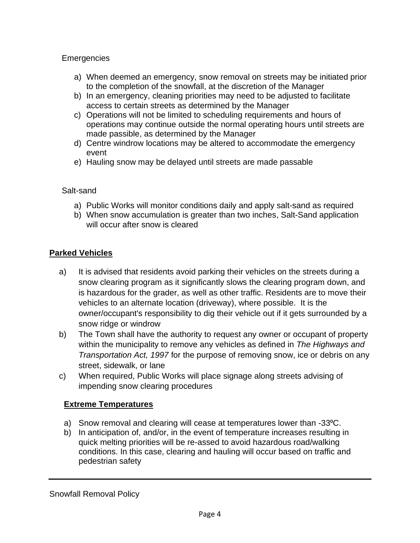## **Emergencies**

- a) When deemed an emergency, snow removal on streets may be initiated prior to the completion of the snowfall, at the discretion of the Manager
- b) In an emergency, cleaning priorities may need to be adjusted to facilitate access to certain streets as determined by the Manager
- c) Operations will not be limited to scheduling requirements and hours of operations may continue outside the normal operating hours until streets are made passible, as determined by the Manager
- d) Centre windrow locations may be altered to accommodate the emergency event
- e) Hauling snow may be delayed until streets are made passable

## Salt-sand

- a) Public Works will monitor conditions daily and apply salt-sand as required
- b) When snow accumulation is greater than two inches, Salt-Sand application will occur after snow is cleared

## **Parked Vehicles**

- a) It is advised that residents avoid parking their vehicles on the streets during a snow clearing program as it significantly slows the clearing program down, and is hazardous for the grader, as well as other traffic. Residents are to move their vehicles to an alternate location (driveway), where possible. It is the owner/occupant's responsibility to dig their vehicle out if it gets surrounded by a snow ridge or windrow
- b) The Town shall have the authority to request any owner or occupant of property within the municipality to remove any vehicles as defined in *The Highways and Transportation Act, 1997* for the purpose of removing snow, ice or debris on any street, sidewalk, or lane
- c) When required, Public Works will place signage along streets advising of impending snow clearing procedures

## **Extreme Temperatures**

- a) Snow removal and clearing will cease at temperatures lower than -33 °C.
- b) In anticipation of, and/or, in the event of temperature increases resulting in quick melting priorities will be re-assed to avoid hazardous road/walking conditions. In this case, clearing and hauling will occur based on traffic and pedestrian safety

Snowfall Removal Policy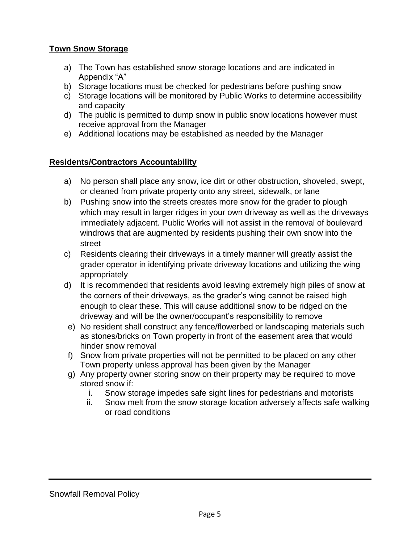### **Town Snow Storage**

- a) The Town has established snow storage locations and are indicated in Appendix "A"
- b) Storage locations must be checked for pedestrians before pushing snow
- c) Storage locations will be monitored by Public Works to determine accessibility and capacity
- d) The public is permitted to dump snow in public snow locations however must receive approval from the Manager
- e) Additional locations may be established as needed by the Manager

## **Residents/Contractors Accountability**

- a) No person shall place any snow, ice dirt or other obstruction, shoveled, swept, or cleaned from private property onto any street, sidewalk, or lane
- b) Pushing snow into the streets creates more snow for the grader to plough which may result in larger ridges in your own driveway as well as the driveways immediately adjacent. Public Works will not assist in the removal of boulevard windrows that are augmented by residents pushing their own snow into the street
- c) Residents clearing their driveways in a timely manner will greatly assist the grader operator in identifying private driveway locations and utilizing the wing appropriately
- d) It is recommended that residents avoid leaving extremely high piles of snow at the corners of their driveways, as the grader's wing cannot be raised high enough to clear these. This will cause additional snow to be ridged on the driveway and will be the owner/occupant's responsibility to remove
- e) No resident shall construct any fence/flowerbed or landscaping materials such as stones/bricks on Town property in front of the easement area that would hinder snow removal
- f) Snow from private properties will not be permitted to be placed on any other Town property unless approval has been given by the Manager
- g) Any property owner storing snow on their property may be required to move stored snow if:
	- i. Snow storage impedes safe sight lines for pedestrians and motorists
	- ii. Snow melt from the snow storage location adversely affects safe walking or road conditions

Snowfall Removal Policy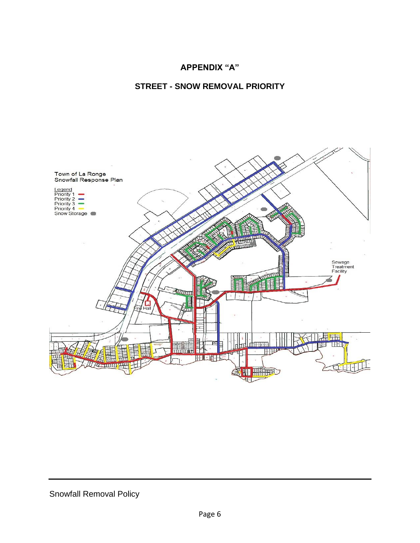### **APPENDIX "A"**

#### **STREET - SNOW REMOVAL PRIORITY**